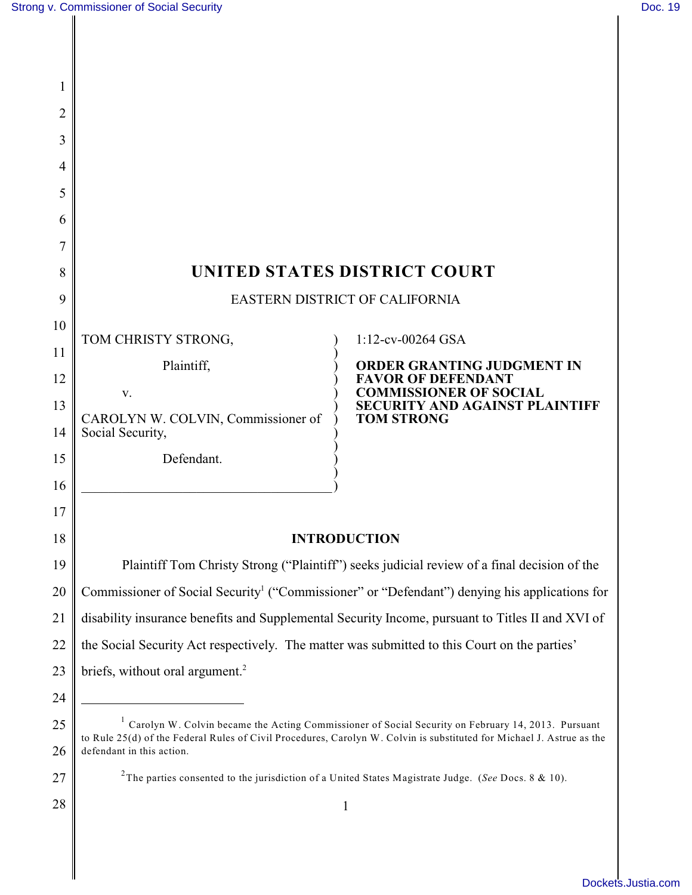| 1        |                                                                                                                                                                                                                             |                                                                                                                 |  |
|----------|-----------------------------------------------------------------------------------------------------------------------------------------------------------------------------------------------------------------------------|-----------------------------------------------------------------------------------------------------------------|--|
| 2        |                                                                                                                                                                                                                             |                                                                                                                 |  |
| 3        |                                                                                                                                                                                                                             |                                                                                                                 |  |
| 4        |                                                                                                                                                                                                                             |                                                                                                                 |  |
| 5        |                                                                                                                                                                                                                             |                                                                                                                 |  |
| 6        |                                                                                                                                                                                                                             |                                                                                                                 |  |
|          |                                                                                                                                                                                                                             |                                                                                                                 |  |
| 8        | UNITED STATES DISTRICT COURT                                                                                                                                                                                                |                                                                                                                 |  |
| 9        | EASTERN DISTRICT OF CALIFORNIA                                                                                                                                                                                              |                                                                                                                 |  |
| 10       | TOM CHRISTY STRONG,                                                                                                                                                                                                         | 1:12-cv-00264 GSA                                                                                               |  |
| 11       | Plaintiff,                                                                                                                                                                                                                  | ORDER GRANTING JUDGMENT IN                                                                                      |  |
| 12       | V.                                                                                                                                                                                                                          | <b>FAVOR OF DEFENDANT</b><br><b>COMMISSIONER OF SOCIAL</b>                                                      |  |
| 13       | CAROLYN W. COLVIN, Commissioner of                                                                                                                                                                                          | <b>SECURITY AND AGAINST PLAINTIFF</b><br><b>TOM STRONG</b>                                                      |  |
| 14       | Social Security,                                                                                                                                                                                                            |                                                                                                                 |  |
| 15       | Defendant.                                                                                                                                                                                                                  |                                                                                                                 |  |
| 16       |                                                                                                                                                                                                                             |                                                                                                                 |  |
| 17       |                                                                                                                                                                                                                             |                                                                                                                 |  |
| 18       | <b>INTRODUCTION</b>                                                                                                                                                                                                         |                                                                                                                 |  |
| 19       | Plaintiff Tom Christy Strong ("Plaintiff") seeks judicial review of a final decision of the                                                                                                                                 |                                                                                                                 |  |
| 20       | Commissioner of Social Security <sup>1</sup> ("Commissioner" or "Defendant") denying his applications for                                                                                                                   |                                                                                                                 |  |
| 21       | disability insurance benefits and Supplemental Security Income, pursuant to Titles II and XVI of                                                                                                                            |                                                                                                                 |  |
| 22       | the Social Security Act respectively. The matter was submitted to this Court on the parties'                                                                                                                                |                                                                                                                 |  |
| 23       | briefs, without oral argument. <sup>2</sup>                                                                                                                                                                                 |                                                                                                                 |  |
| 24       |                                                                                                                                                                                                                             |                                                                                                                 |  |
| 25       | Carolyn W. Colvin became the Acting Commissioner of Social Security on February 14, 2013. Pursuant<br>to Rule 25(d) of the Federal Rules of Civil Procedures, Carolyn W. Colvin is substituted for Michael J. Astrue as the |                                                                                                                 |  |
| 26<br>27 | defendant in this action.                                                                                                                                                                                                   | <sup>2</sup> The parties consented to the jurisdiction of a United States Magistrate Judge. (See Docs. 8 & 10). |  |
|          |                                                                                                                                                                                                                             |                                                                                                                 |  |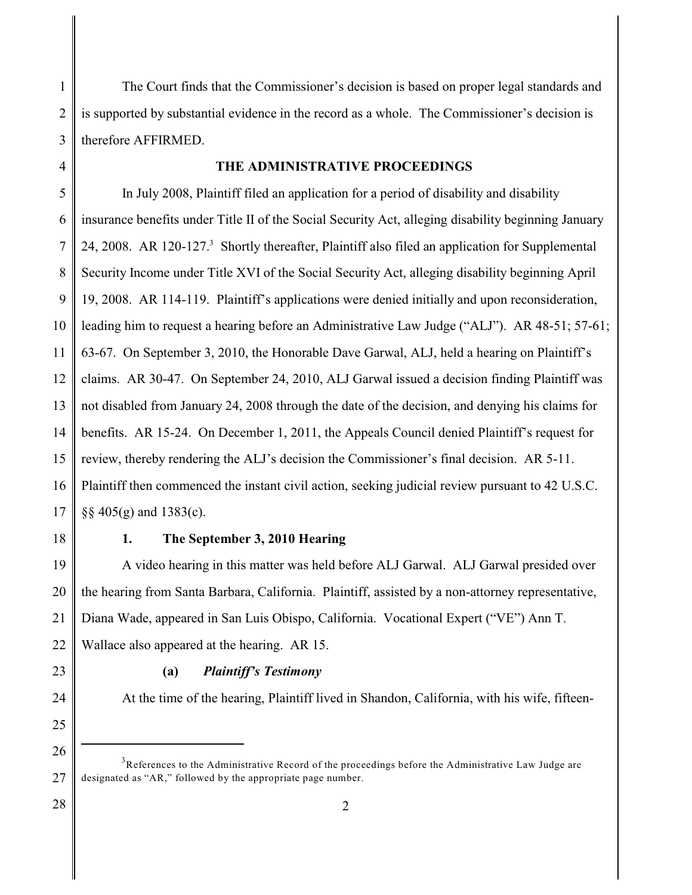1 2 3 The Court finds that the Commissioner's decision is based on proper legal standards and is supported by substantial evidence in the record as a whole. The Commissioner's decision is therefore AFFIRMED.

4

## **THE ADMINISTRATIVE PROCEEDINGS**

5 6 7 8 9 10 11 12 13 14 15 16 17 In July 2008, Plaintiff filed an application for a period of disability and disability insurance benefits under Title II of the Social Security Act, alleging disability beginning January 24, 2008. AR 120-127.<sup>3</sup> Shortly thereafter, Plaintiff also filed an application for Supplemental Security Income under Title XVI of the Social Security Act, alleging disability beginning April 19, 2008. AR 114-119. Plaintiff's applications were denied initially and upon reconsideration, leading him to request a hearing before an Administrative Law Judge ("ALJ"). AR 48-51; 57-61; 63-67. On September 3, 2010, the Honorable Dave Garwal, ALJ, held a hearing on Plaintiff's claims. AR 30-47. On September 24, 2010, ALJ Garwal issued a decision finding Plaintiff was not disabled from January 24, 2008 through the date of the decision, and denying his claims for benefits. AR 15-24. On December 1, 2011, the Appeals Council denied Plaintiff's request for review, thereby rendering the ALJ's decision the Commissioner's final decision. AR 5-11. Plaintiff then commenced the instant civil action, seeking judicial review pursuant to 42 U.S.C. §§ 405(g) and 1383(c).

18

## **1. The September 3, 2010 Hearing**

19 20 21 22 A video hearing in this matter was held before ALJ Garwal. ALJ Garwal presided over the hearing from Santa Barbara, California. Plaintiff, assisted by a non-attorney representative, Diana Wade, appeared in San Luis Obispo, California. Vocational Expert ("VE") Ann T. Wallace also appeared at the hearing. AR 15.

23

## **(a)** *Plaintiff's Testimony*

24 25

28

26

At the time of the hearing, Plaintiff lived in Shandon, California, with his wife, fifteen-

<sup>27</sup>  $3$ References to the Administrative Record of the proceedings before the Administrative Law Judge are designated as "AR," followed by the appropriate page number.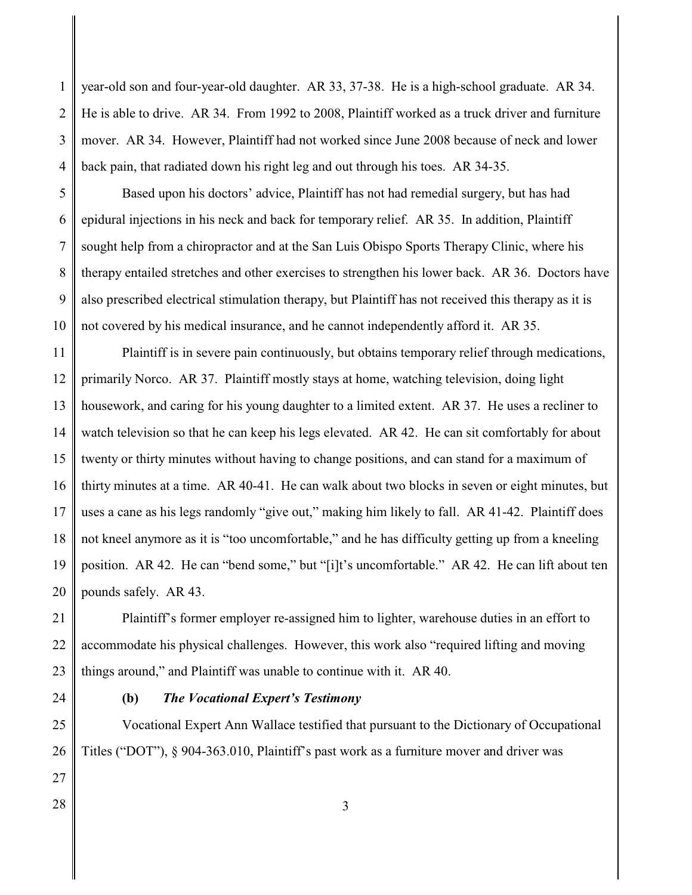1 2 3 4 year-old son and four-year-old daughter. AR 33, 37-38. He is a high-school graduate. AR 34. He is able to drive. AR 34. From 1992 to 2008, Plaintiff worked as a truck driver and furniture mover. AR 34. However, Plaintiff had not worked since June 2008 because of neck and lower back pain, that radiated down his right leg and out through his toes. AR 34-35.

5 6 7 8 9 10 Based upon his doctors' advice, Plaintiff has not had remedial surgery, but has had epidural injections in his neck and back for temporary relief. AR 35. In addition, Plaintiff sought help from a chiropractor and at the San Luis Obispo Sports Therapy Clinic, where his therapy entailed stretches and other exercises to strengthen his lower back. AR 36. Doctors have also prescribed electrical stimulation therapy, but Plaintiff has not received this therapy as it is not covered by his medical insurance, and he cannot independently afford it. AR 35.

11 12 13 14 15 16 17 18 19 20 Plaintiff is in severe pain continuously, but obtains temporary relief through medications, primarily Norco. AR 37. Plaintiff mostly stays at home, watching television, doing light housework, and caring for his young daughter to a limited extent. AR 37. He uses a recliner to watch television so that he can keep his legs elevated. AR 42. He can sit comfortably for about twenty or thirty minutes without having to change positions, and can stand for a maximum of thirty minutes at a time. AR 40-41. He can walk about two blocks in seven or eight minutes, but uses a cane as his legs randomly "give out," making him likely to fall. AR 41-42. Plaintiff does not kneel anymore as it is "too uncomfortable," and he has difficulty getting up from a kneeling position. AR 42. He can "bend some," but "[i]t's uncomfortable." AR 42. He can lift about ten pounds safely. AR 43.

21 22 23 Plaintiff's former employer re-assigned him to lighter, warehouse duties in an effort to accommodate his physical challenges. However, this work also "required lifting and moving things around," and Plaintiff was unable to continue with it. AR 40.

24

# **(b)** *The Vocational Expert's Testimony*

25 26 Vocational Expert Ann Wallace testified that pursuant to the Dictionary of Occupational Titles ("DOT"), § 904-363.010, Plaintiff's past work as a furniture mover and driver was

- 27
- 28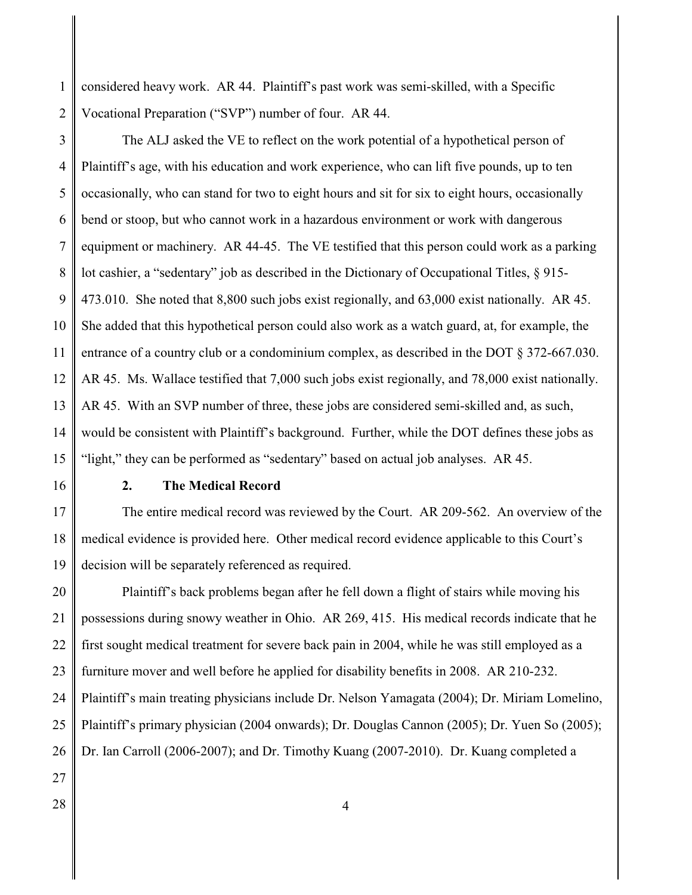1 2 considered heavy work. AR 44. Plaintiff's past work was semi-skilled, with a Specific Vocational Preparation ("SVP") number of four. AR 44.

3 4 5 6 7 8 9 10 11 12 13 14 15 The ALJ asked the VE to reflect on the work potential of a hypothetical person of Plaintiff's age, with his education and work experience, who can lift five pounds, up to ten occasionally, who can stand for two to eight hours and sit for six to eight hours, occasionally bend or stoop, but who cannot work in a hazardous environment or work with dangerous equipment or machinery. AR 44-45. The VE testified that this person could work as a parking lot cashier, a "sedentary" job as described in the Dictionary of Occupational Titles, § 915- 473.010. She noted that 8,800 such jobs exist regionally, and 63,000 exist nationally. AR 45. She added that this hypothetical person could also work as a watch guard, at, for example, the entrance of a country club or a condominium complex, as described in the DOT § 372-667.030. AR 45. Ms. Wallace testified that 7,000 such jobs exist regionally, and 78,000 exist nationally. AR 45. With an SVP number of three, these jobs are considered semi-skilled and, as such, would be consistent with Plaintiff's background. Further, while the DOT defines these jobs as "light," they can be performed as "sedentary" based on actual job analyses. AR 45.

16

## **2. The Medical Record**

17 18 19 The entire medical record was reviewed by the Court. AR 209-562. An overview of the medical evidence is provided here. Other medical record evidence applicable to this Court's decision will be separately referenced as required.

20 21 22 23 24 25 26 27 Plaintiff's back problems began after he fell down a flight of stairs while moving his possessions during snowy weather in Ohio. AR 269, 415. His medical records indicate that he first sought medical treatment for severe back pain in 2004, while he was still employed as a furniture mover and well before he applied for disability benefits in 2008. AR 210-232. Plaintiff's main treating physicians include Dr. Nelson Yamagata (2004); Dr. Miriam Lomelino, Plaintiff's primary physician (2004 onwards); Dr. Douglas Cannon (2005); Dr. Yuen So (2005); Dr. Ian Carroll (2006-2007); and Dr. Timothy Kuang (2007-2010). Dr. Kuang completed a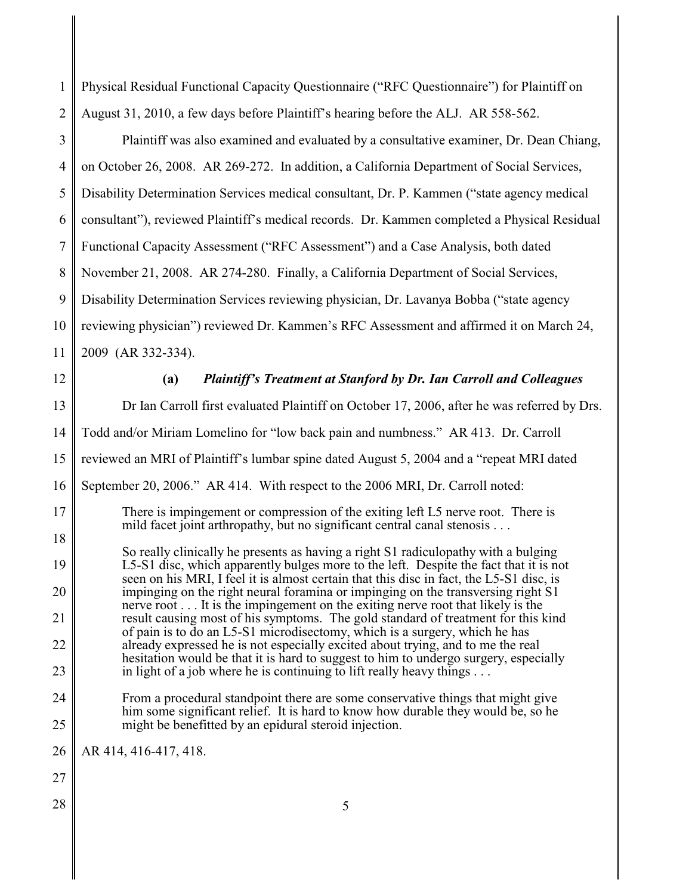| 1              | Physical Residual Functional Capacity Questionnaire ("RFC Questionnaire") for Plaintiff on                                                                                                                                                              |  |
|----------------|---------------------------------------------------------------------------------------------------------------------------------------------------------------------------------------------------------------------------------------------------------|--|
| $\overline{2}$ | August 31, 2010, a few days before Plaintiff's hearing before the ALJ. AR 558-562.                                                                                                                                                                      |  |
| 3              | Plaintiff was also examined and evaluated by a consultative examiner, Dr. Dean Chiang,                                                                                                                                                                  |  |
| $\overline{4}$ | on October 26, 2008. AR 269-272. In addition, a California Department of Social Services,                                                                                                                                                               |  |
| 5              | Disability Determination Services medical consultant, Dr. P. Kammen ("state agency medical                                                                                                                                                              |  |
| 6              | consultant"), reviewed Plaintiff's medical records. Dr. Kammen completed a Physical Residual                                                                                                                                                            |  |
| $\overline{7}$ | Functional Capacity Assessment ("RFC Assessment") and a Case Analysis, both dated                                                                                                                                                                       |  |
| 8              | November 21, 2008. AR 274-280. Finally, a California Department of Social Services,                                                                                                                                                                     |  |
| 9              | Disability Determination Services reviewing physician, Dr. Lavanya Bobba ("state agency                                                                                                                                                                 |  |
| 10             | reviewing physician") reviewed Dr. Kammen's RFC Assessment and affirmed it on March 24,                                                                                                                                                                 |  |
| 11             | 2009 (AR 332-334).                                                                                                                                                                                                                                      |  |
| 12             | <b>Plaintiff's Treatment at Stanford by Dr. Ian Carroll and Colleagues</b><br>(a)                                                                                                                                                                       |  |
| 13             | Dr Ian Carroll first evaluated Plaintiff on October 17, 2006, after he was referred by Drs.                                                                                                                                                             |  |
| 14             | Todd and/or Miriam Lomelino for "low back pain and numbness." AR 413. Dr. Carroll                                                                                                                                                                       |  |
| 15             | reviewed an MRI of Plaintiff's lumbar spine dated August 5, 2004 and a "repeat MRI dated                                                                                                                                                                |  |
| 16             | September 20, 2006." AR 414. With respect to the 2006 MRI, Dr. Carroll noted:                                                                                                                                                                           |  |
| 17             | There is impingement or compression of the exiting left L5 nerve root. There is<br>mild facet joint arthropathy, but no significant central canal stenosis                                                                                              |  |
| 18             | So really clinically he presents as having a right S1 radiculopathy with a bulging                                                                                                                                                                      |  |
| 19             | L5-S1 disc, which apparently bulges more to the left. Despite the fact that it is not<br>seen on his MRI, I feel it is almost certain that this disc in fact, the L5-S1 disc, is                                                                        |  |
| 20             | impinging on the right neural foramina or impinging on the transversing right S1<br>nerve root It is the impingement on the exiting nerve root that likely is the                                                                                       |  |
| 21             | result causing most of his symptoms. The gold standard of treatment for this kind<br>of pain is to do an L5-S1 microdisectomy, which is a surgery, which he has                                                                                         |  |
| 22<br>23       | already expressed he is not especially excited about trying, and to me the real<br>hesitation would be that it is hard to suggest to him to undergo surgery, especially<br>in light of a job where he is continuing to lift really heavy things $\dots$ |  |
| 24             | From a procedural standpoint there are some conservative things that might give<br>him some significant relief. It is hard to know how durable they would be, so he                                                                                     |  |
| 25             | might be benefitted by an epidural steroid injection.                                                                                                                                                                                                   |  |
| 26             | AR 414, 416-417, 418.                                                                                                                                                                                                                                   |  |
| 27             |                                                                                                                                                                                                                                                         |  |
| 28             | 5                                                                                                                                                                                                                                                       |  |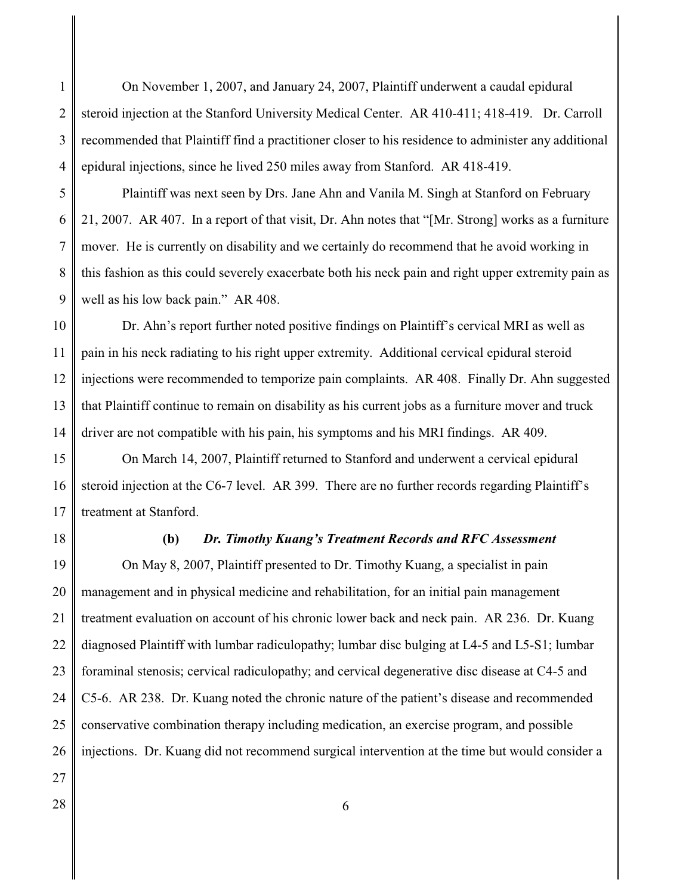1 2 3 4 On November 1, 2007, and January 24, 2007, Plaintiff underwent a caudal epidural steroid injection at the Stanford University Medical Center. AR 410-411; 418-419. Dr. Carroll recommended that Plaintiff find a practitioner closer to his residence to administer any additional epidural injections, since he lived 250 miles away from Stanford. AR 418-419.

5 6 7 8 9 Plaintiff was next seen by Drs. Jane Ahn and Vanila M. Singh at Stanford on February 21, 2007. AR 407. In a report of that visit, Dr. Ahn notes that "[Mr. Strong] works as a furniture mover. He is currently on disability and we certainly do recommend that he avoid working in this fashion as this could severely exacerbate both his neck pain and right upper extremity pain as well as his low back pain." AR 408.

10 11 12 13 14 Dr. Ahn's report further noted positive findings on Plaintiff's cervical MRI as well as pain in his neck radiating to his right upper extremity. Additional cervical epidural steroid injections were recommended to temporize pain complaints. AR 408. Finally Dr. Ahn suggested that Plaintiff continue to remain on disability as his current jobs as a furniture mover and truck driver are not compatible with his pain, his symptoms and his MRI findings. AR 409.

15 16 17 On March 14, 2007, Plaintiff returned to Stanford and underwent a cervical epidural steroid injection at the C6-7 level. AR 399. There are no further records regarding Plaintiff's treatment at Stanford.

18

#### **(b)** *Dr. Timothy Kuang's Treatment Records and RFC Assessment*

19 20 21 22 23 24 25 26 On May 8, 2007, Plaintiff presented to Dr. Timothy Kuang, a specialist in pain management and in physical medicine and rehabilitation, for an initial pain management treatment evaluation on account of his chronic lower back and neck pain. AR 236. Dr. Kuang diagnosed Plaintiff with lumbar radiculopathy; lumbar disc bulging at L4-5 and L5-S1; lumbar foraminal stenosis; cervical radiculopathy; and cervical degenerative disc disease at C4-5 and C5-6. AR 238. Dr. Kuang noted the chronic nature of the patient's disease and recommended conservative combination therapy including medication, an exercise program, and possible injections. Dr. Kuang did not recommend surgical intervention at the time but would consider a

- 27
- 28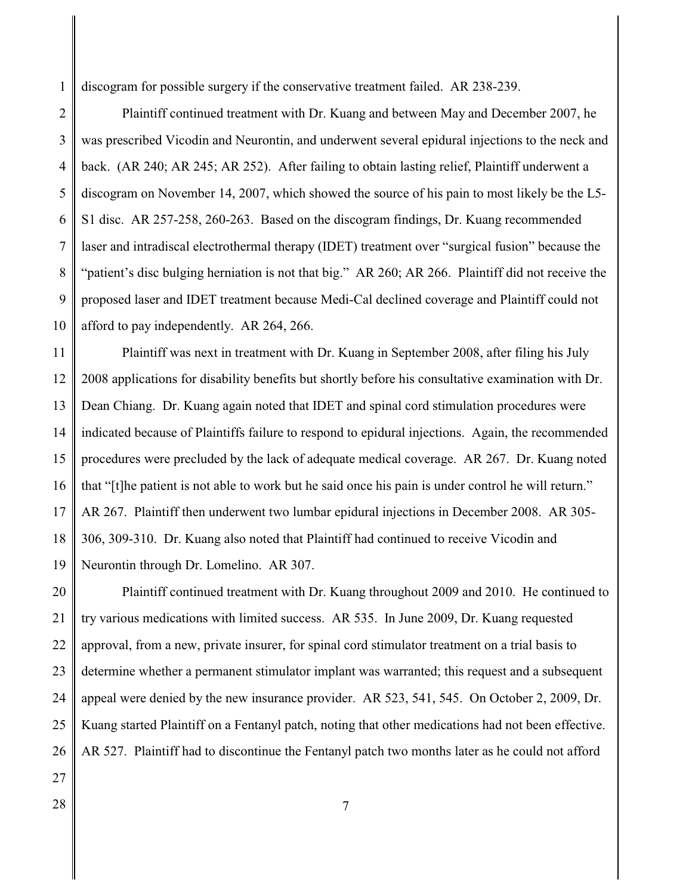1 discogram for possible surgery if the conservative treatment failed. AR 238-239.

2 3 4 5 6 7 8 9 10 Plaintiff continued treatment with Dr. Kuang and between May and December 2007, he was prescribed Vicodin and Neurontin, and underwent several epidural injections to the neck and back. (AR 240; AR 245; AR 252). After failing to obtain lasting relief, Plaintiff underwent a discogram on November 14, 2007, which showed the source of his pain to most likely be the L5- S1 disc. AR 257-258, 260-263. Based on the discogram findings, Dr. Kuang recommended laser and intradiscal electrothermal therapy (IDET) treatment over "surgical fusion" because the "patient's disc bulging herniation is not that big." AR 260; AR 266. Plaintiff did not receive the proposed laser and IDET treatment because Medi-Cal declined coverage and Plaintiff could not afford to pay independently. AR 264, 266.

11 12 13 14 15 16 17 18 19 Plaintiff was next in treatment with Dr. Kuang in September 2008, after filing his July 2008 applications for disability benefits but shortly before his consultative examination with Dr. Dean Chiang. Dr. Kuang again noted that IDET and spinal cord stimulation procedures were indicated because of Plaintiffs failure to respond to epidural injections. Again, the recommended procedures were precluded by the lack of adequate medical coverage. AR 267. Dr. Kuang noted that "[t]he patient is not able to work but he said once his pain is under control he will return." AR 267. Plaintiff then underwent two lumbar epidural injections in December 2008. AR 305- 306, 309-310. Dr. Kuang also noted that Plaintiff had continued to receive Vicodin and Neurontin through Dr. Lomelino. AR 307.

20 21 22 23 24 25 26 Plaintiff continued treatment with Dr. Kuang throughout 2009 and 2010. He continued to try various medications with limited success. AR 535. In June 2009, Dr. Kuang requested approval, from a new, private insurer, for spinal cord stimulator treatment on a trial basis to determine whether a permanent stimulator implant was warranted; this request and a subsequent appeal were denied by the new insurance provider. AR 523, 541, 545. On October 2, 2009, Dr. Kuang started Plaintiff on a Fentanyl patch, noting that other medications had not been effective. AR 527. Plaintiff had to discontinue the Fentanyl patch two months later as he could not afford

- 27
- 28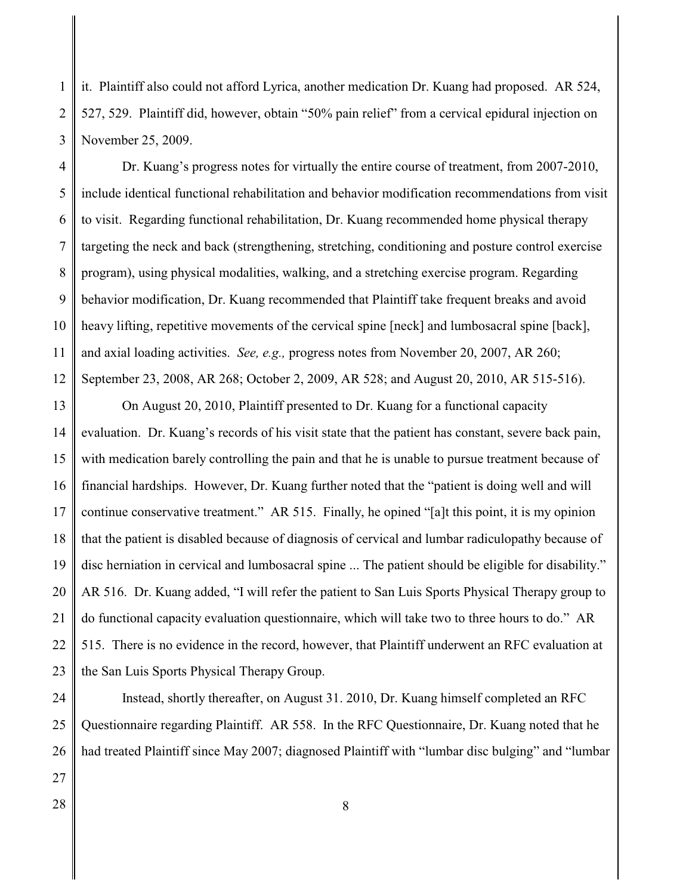1 2 3 it. Plaintiff also could not afford Lyrica, another medication Dr. Kuang had proposed. AR 524, 527, 529. Plaintiff did, however, obtain "50% pain relief" from a cervical epidural injection on November 25, 2009.

4 5 6 7 8 9 10 11 12 Dr. Kuang's progress notes for virtually the entire course of treatment, from 2007-2010, include identical functional rehabilitation and behavior modification recommendations from visit to visit. Regarding functional rehabilitation, Dr. Kuang recommended home physical therapy targeting the neck and back (strengthening, stretching, conditioning and posture control exercise program), using physical modalities, walking, and a stretching exercise program. Regarding behavior modification, Dr. Kuang recommended that Plaintiff take frequent breaks and avoid heavy lifting, repetitive movements of the cervical spine [neck] and lumbosacral spine [back], and axial loading activities. *See, e.g.,* progress notes from November 20, 2007, AR 260; September 23, 2008, AR 268; October 2, 2009, AR 528; and August 20, 2010, AR 515-516).

13 14 15 16 17 18 19 20 21 22 23 On August 20, 2010, Plaintiff presented to Dr. Kuang for a functional capacity evaluation. Dr. Kuang's records of his visit state that the patient has constant, severe back pain, with medication barely controlling the pain and that he is unable to pursue treatment because of financial hardships. However, Dr. Kuang further noted that the "patient is doing well and will continue conservative treatment." AR 515. Finally, he opined "[a]t this point, it is my opinion that the patient is disabled because of diagnosis of cervical and lumbar radiculopathy because of disc herniation in cervical and lumbosacral spine ... The patient should be eligible for disability." AR 516. Dr. Kuang added, "I will refer the patient to San Luis Sports Physical Therapy group to do functional capacity evaluation questionnaire, which will take two to three hours to do." AR 515. There is no evidence in the record, however, that Plaintiff underwent an RFC evaluation at the San Luis Sports Physical Therapy Group.

24 25 26 Instead, shortly thereafter, on August 31. 2010, Dr. Kuang himself completed an RFC Questionnaire regarding Plaintiff. AR 558. In the RFC Questionnaire, Dr. Kuang noted that he had treated Plaintiff since May 2007; diagnosed Plaintiff with "lumbar disc bulging" and "lumbar

27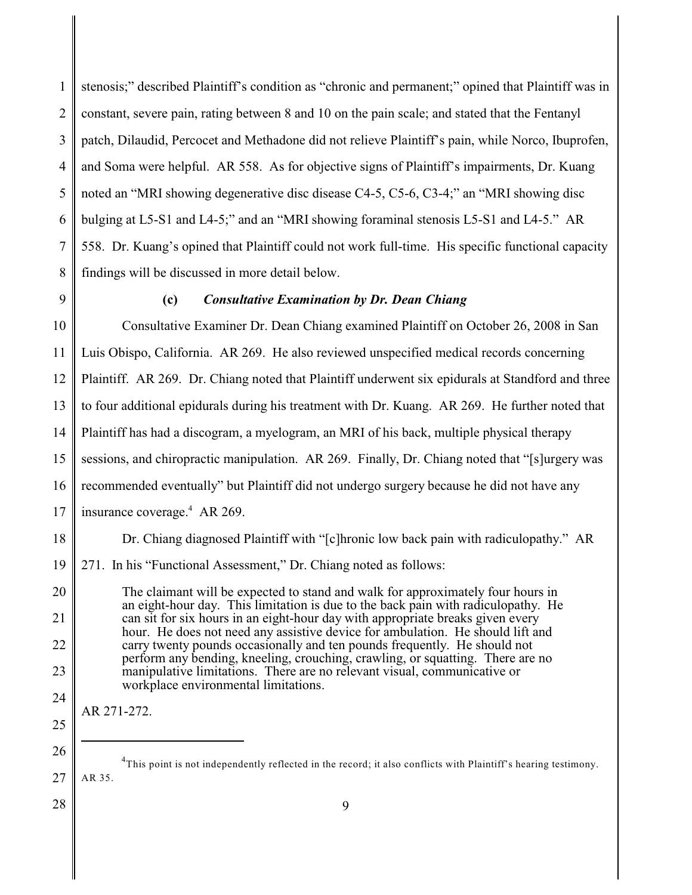1 2 3 4 5 6 7 8 stenosis;" described Plaintiff's condition as "chronic and permanent;" opined that Plaintiff was in constant, severe pain, rating between 8 and 10 on the pain scale; and stated that the Fentanyl patch, Dilaudid, Percocet and Methadone did not relieve Plaintiff's pain, while Norco, Ibuprofen, and Soma were helpful. AR 558. As for objective signs of Plaintiff's impairments, Dr. Kuang noted an "MRI showing degenerative disc disease C4-5, C5-6, C3-4;" an "MRI showing disc bulging at L5-S1 and L4-5;" and an "MRI showing foraminal stenosis L5-S1 and L4-5." AR 558. Dr. Kuang's opined that Plaintiff could not work full-time. His specific functional capacity findings will be discussed in more detail below.

9

## **(c)** *Consultative Examination by Dr. Dean Chiang*

10 11 12 13 14 15 16 17 Consultative Examiner Dr. Dean Chiang examined Plaintiff on October 26, 2008 in San Luis Obispo, California. AR 269. He also reviewed unspecified medical records concerning Plaintiff. AR 269. Dr. Chiang noted that Plaintiff underwent six epidurals at Standford and three to four additional epidurals during his treatment with Dr. Kuang. AR 269. He further noted that Plaintiff has had a discogram, a myelogram, an MRI of his back, multiple physical therapy sessions, and chiropractic manipulation. AR 269. Finally, Dr. Chiang noted that "[s]urgery was recommended eventually" but Plaintiff did not undergo surgery because he did not have any insurance coverage. $4$  AR 269.

18 Dr. Chiang diagnosed Plaintiff with "[c]hronic low back pain with radiculopathy." AR

19 271. In his "Functional Assessment," Dr. Chiang noted as follows:

20 21 22 23 24 The claimant will be expected to stand and walk for approximately four hours in an eight-hour day. This limitation is due to the back pain with radiculopathy. He can sit for six hours in an eight-hour day with appropriate breaks given every hour. He does not need any assistive device for ambulation. He should lift and carry twenty pounds occasionally and ten pounds frequently. He should not perform any bending, kneeling, crouching, crawling, or squatting. There are no manipulative limitations. There are no relevant visual, communicative or workplace environmental limitations.

AR 271-272.

28

25

<sup>27</sup>  ${}^{4}$ This point is not independently reflected in the record; it also conflicts with Plaintiff's hearing testimony. AR 35.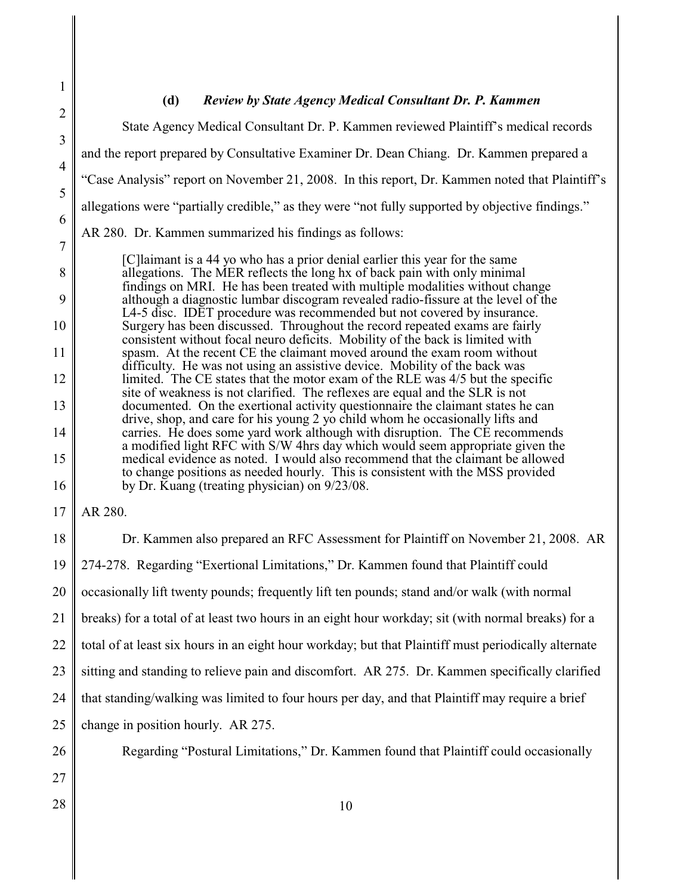# **(d)** *Review by State Agency Medical Consultant Dr. P. Kammen*

2 3 4 5 6 7 8 9 10 11 12 13 14 15 16 17 18 19 State Agency Medical Consultant Dr. P. Kammen reviewed Plaintiff's medical records and the report prepared by Consultative Examiner Dr. Dean Chiang. Dr. Kammen prepared a "Case Analysis" report on November 21, 2008. In this report, Dr. Kammen noted that Plaintiff's allegations were "partially credible," as they were "not fully supported by objective findings." AR 280. Dr. Kammen summarized his findings as follows: [C]laimant is a 44 yo who has a prior denial earlier this year for the same allegations. The MER reflects the long hx of back pain with only minimal findings on MRI. He has been treated with multiple modalities without change although a diagnostic lumbar discogram revealed radio-fissure at the level of the L4-5 disc. IDET procedure was recommended but not covered by insurance. Surgery has been discussed. Throughout the record repeated exams are fairly consistent without focal neuro deficits. Mobility of the back is limited with spasm. At the recent CE the claimant moved around the exam room without difficulty. He was not using an assistive device. Mobility of the back was limited. The CE states that the motor exam of the RLE was 4/5 but the specific site of weakness is not clarified. The reflexes are equal and the SLR is not documented. On the exertional activity questionnaire the claimant states he can drive, shop, and care for his young 2 yo child whom he occasionally lifts and carries. He does some yard work although with disruption. The CE recommends a modified light RFC with S/W 4hrs day which would seem appropriate given the medical evidence as noted. I would also recommend that the claimant be allowed to change positions as needed hourly. This is consistent with the MSS provided by Dr. Kuang (treating physician) on 9/23/08. AR 280. Dr. Kammen also prepared an RFC Assessment for Plaintiff on November 21, 2008. AR 274-278. Regarding "Exertional Limitations," Dr. Kammen found that Plaintiff could

20 occasionally lift twenty pounds; frequently lift ten pounds; stand and/or walk (with normal

21 breaks) for a total of at least two hours in an eight hour workday; sit (with normal breaks) for a

22 total of at least six hours in an eight hour workday; but that Plaintiff must periodically alternate

23 sitting and standing to relieve pain and discomfort. AR 275. Dr. Kammen specifically clarified

24 that standing/walking was limited to four hours per day, and that Plaintiff may require a brief

- 25 change in position hourly. AR 275.
- 26 27

1

- 
- 28

Regarding "Postural Limitations," Dr. Kammen found that Plaintiff could occasionally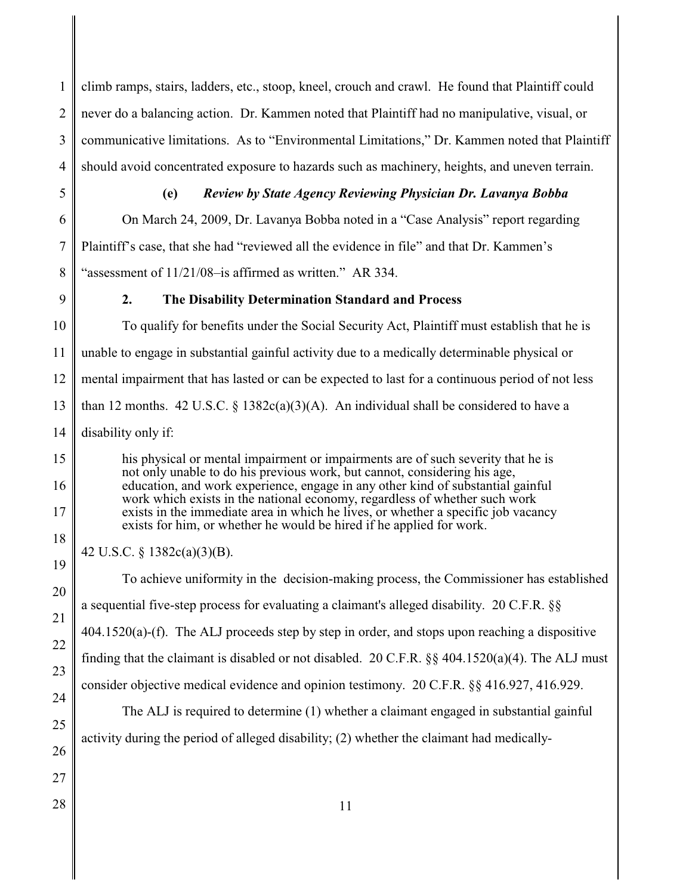1 2 3 4 climb ramps, stairs, ladders, etc., stoop, kneel, crouch and crawl. He found that Plaintiff could never do a balancing action. Dr. Kammen noted that Plaintiff had no manipulative, visual, or communicative limitations. As to "Environmental Limitations," Dr. Kammen noted that Plaintiff should avoid concentrated exposure to hazards such as machinery, heights, and uneven terrain.

5

7

# **(e)** *Review by State Agency Reviewing Physician Dr. Lavanya Bobba*

6 8 On March 24, 2009, Dr. Lavanya Bobba noted in a "Case Analysis" report regarding Plaintiff's case, that she had "reviewed all the evidence in file" and that Dr. Kammen's "assessment of 11/21/08–is affirmed as written." AR 334.

9

17

18

19

20

21

22

23

24

25

# **2. The Disability Determination Standard and Process**

10 11 12 13 14 To qualify for benefits under the Social Security Act, Plaintiff must establish that he is unable to engage in substantial gainful activity due to a medically determinable physical or mental impairment that has lasted or can be expected to last for a continuous period of not less than 12 months. 42 U.S.C.  $\S$  1382c(a)(3)(A). An individual shall be considered to have a disability only if:

15 16 his physical or mental impairment or impairments are of such severity that he is not only unable to do his previous work, but cannot, considering his age, education, and work experience, engage in any other kind of substantial gainful work which exists in the national economy, regardless of whether such work exists in the immediate area in which he lives, or whether a specific job vacancy exists for him, or whether he would be hired if he applied for work.

42 U.S.C. § 1382c(a)(3)(B).

To achieve uniformity in the decision-making process, the Commissioner has established a sequential five-step process for evaluating a claimant's alleged disability. 20 C.F.R. §§ 404.1520(a)-(f). The ALJ proceeds step by step in order, and stops upon reaching a dispositive finding that the claimant is disabled or not disabled. 20 C.F.R. §§ 404.1520(a)(4). The ALJ must consider objective medical evidence and opinion testimony. 20 C.F.R. §§ 416.927, 416.929. The ALJ is required to determine (1) whether a claimant engaged in substantial gainful

activity during the period of alleged disability; (2) whether the claimant had medically-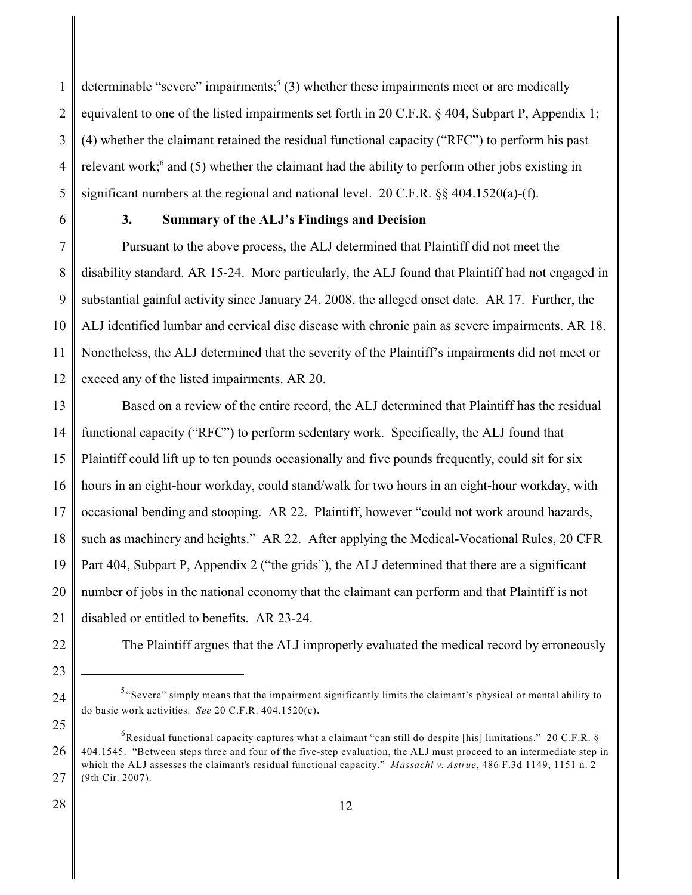1 2 3 4 5 determinable "severe" impairments;<sup>5</sup> (3) whether these impairments meet or are medically equivalent to one of the listed impairments set forth in 20 C.F.R. § 404, Subpart P, Appendix 1; (4) whether the claimant retained the residual functional capacity ("RFC") to perform his past relevant work; $<sup>6</sup>$  and (5) whether the claimant had the ability to perform other jobs existing in</sup> significant numbers at the regional and national level. 20 C.F.R. §§ 404.1520(a)-(f).

6

## **3. Summary of the ALJ's Findings and Decision**

7 8 9 10 11 12 Pursuant to the above process, the ALJ determined that Plaintiff did not meet the disability standard. AR 15-24. More particularly, the ALJ found that Plaintiff had not engaged in substantial gainful activity since January 24, 2008, the alleged onset date. AR 17. Further, the ALJ identified lumbar and cervical disc disease with chronic pain as severe impairments. AR 18. Nonetheless, the ALJ determined that the severity of the Plaintiff's impairments did not meet or exceed any of the listed impairments. AR 20.

13 14 15 16 17 18 19 20 21 Based on a review of the entire record, the ALJ determined that Plaintiff has the residual functional capacity ("RFC") to perform sedentary work. Specifically, the ALJ found that Plaintiff could lift up to ten pounds occasionally and five pounds frequently, could sit for six hours in an eight-hour workday, could stand/walk for two hours in an eight-hour workday, with occasional bending and stooping. AR 22. Plaintiff, however "could not work around hazards, such as machinery and heights." AR 22. After applying the Medical-Vocational Rules, 20 CFR Part 404, Subpart P, Appendix 2 ("the grids"), the ALJ determined that there are a significant number of jobs in the national economy that the claimant can perform and that Plaintiff is not disabled or entitled to benefits. AR 23-24.

22

23

24

25

The Plaintiff argues that the ALJ improperly evaluated the medical record by erroneously

 $5$  "Severe" simply means that the impairment significantly limits the claimant's physical or mental ability to do basic work activities. *See* 20 C.F.R. 404.1520(c).

<sup>26</sup> 27  ${}^{6}$ Residual functional capacity captures what a claimant "can still do despite [his] limitations." 20 C.F.R. § 404.1545. "Between steps three and four of the five-step evaluation, the ALJ must proceed to an intermediate step in which the ALJ assesses the claimant's residual functional capacity." *Massachi v. Astrue*, 486 F.3d 1149, 1151 n. 2 (9th Cir. 2007).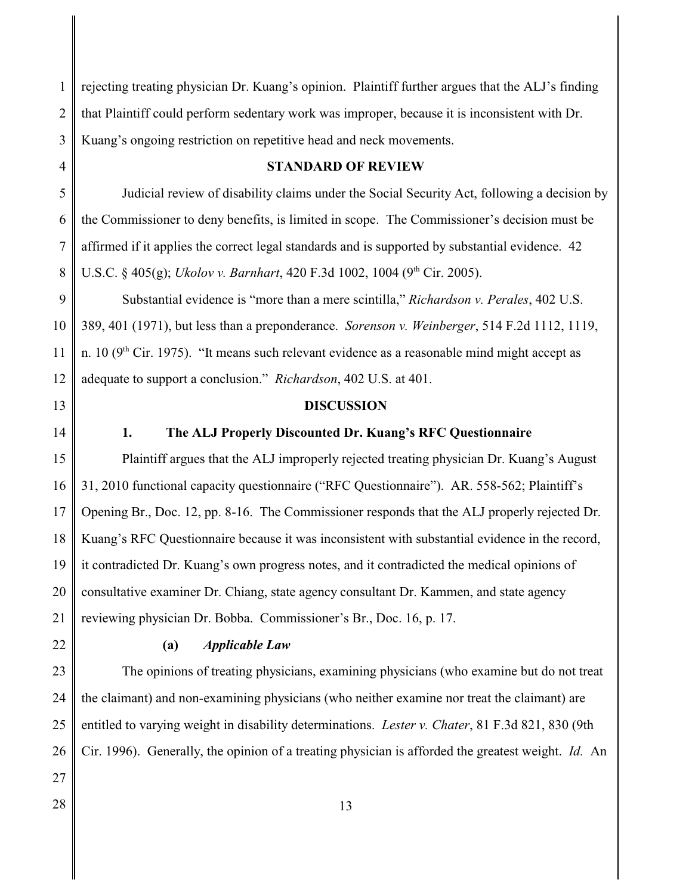1 2 3 rejecting treating physician Dr. Kuang's opinion. Plaintiff further argues that the ALJ's finding that Plaintiff could perform sedentary work was improper, because it is inconsistent with Dr. Kuang's ongoing restriction on repetitive head and neck movements.

4

### **STANDARD OF REVIEW**

5 6 7 8 Judicial review of disability claims under the Social Security Act, following a decision by the Commissioner to deny benefits, is limited in scope. The Commissioner's decision must be affirmed if it applies the correct legal standards and is supported by substantial evidence. 42 U.S.C. § 405(g); *Ukolov v. Barnhart*, 420 F.3d 1002, 1004 (9<sup>th</sup> Cir. 2005).

9 10 11 12 Substantial evidence is "more than a mere scintilla," *Richardson v. Perales*, 402 U.S. 389, 401 (1971), but less than a preponderance. *Sorenson v. Weinberger*, 514 F.2d 1112, 1119, n. 10 ( $9<sup>th</sup>$  Cir. 1975). "It means such relevant evidence as a reasonable mind might accept as adequate to support a conclusion." *Richardson*, 402 U.S. at 401.

13

14

### **1. The ALJ Properly Discounted Dr. Kuang's RFC Questionnaire**

**DISCUSSION**

15 16 17 18 19 20 21 Plaintiff argues that the ALJ improperly rejected treating physician Dr. Kuang's August 31, 2010 functional capacity questionnaire ("RFC Questionnaire"). AR. 558-562; Plaintiff's Opening Br., Doc. 12, pp. 8-16. The Commissioner responds that the ALJ properly rejected Dr. Kuang's RFC Questionnaire because it was inconsistent with substantial evidence in the record, it contradicted Dr. Kuang's own progress notes, and it contradicted the medical opinions of consultative examiner Dr. Chiang, state agency consultant Dr. Kammen, and state agency reviewing physician Dr. Bobba. Commissioner's Br., Doc. 16, p. 17.

22

#### **(a)** *Applicable Law*

23 24 25 26 The opinions of treating physicians, examining physicians (who examine but do not treat the claimant) and non-examining physicians (who neither examine nor treat the claimant) are entitled to varying weight in disability determinations. *Lester v. Chater*, 81 F.3d 821, 830 (9th Cir. 1996). Generally, the opinion of a treating physician is afforded the greatest weight. *Id.* An

- 27
- 28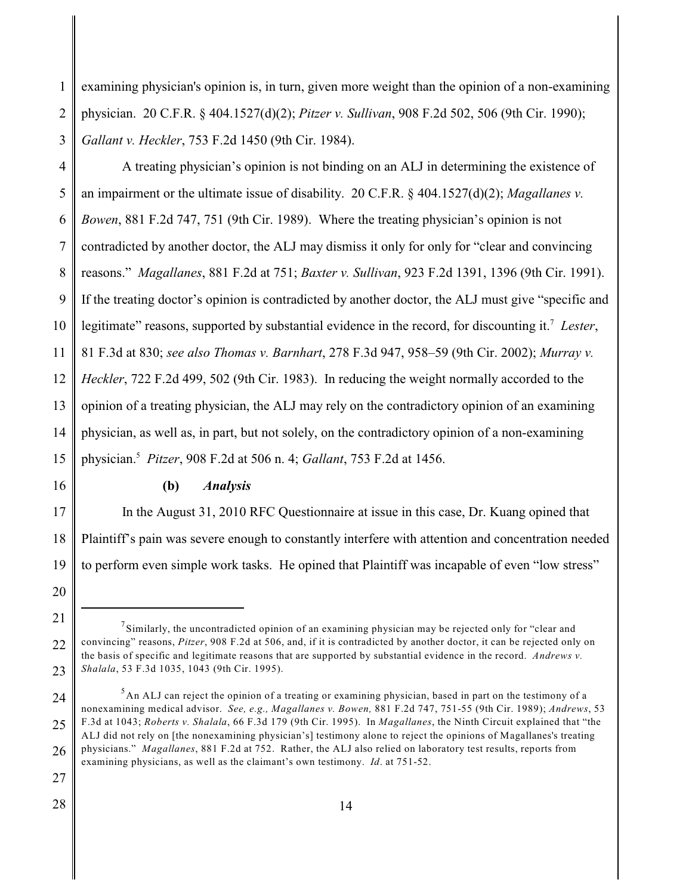1 2 3 examining physician's opinion is, in turn, given more weight than the opinion of a non-examining physician. 20 C.F.R. § 404.1527(d)(2); *Pitzer v. Sullivan*, 908 F.2d 502, 506 (9th Cir. 1990); *Gallant v. Heckler*, 753 F.2d 1450 (9th Cir. 1984).

4 5 6 7 8 9 10 11 12 13 14 15 A treating physician's opinion is not binding on an ALJ in determining the existence of an impairment or the ultimate issue of disability. 20 C.F.R. § 404.1527(d)(2); *Magallanes v. Bowen*, 881 F.2d 747, 751 (9th Cir. 1989). Where the treating physician's opinion is not contradicted by another doctor, the ALJ may dismiss it only for only for "clear and convincing reasons." *Magallanes*, 881 F.2d at 751; *Baxter v. Sullivan*, 923 F.2d 1391, 1396 (9th Cir. 1991). If the treating doctor's opinion is contradicted by another doctor, the ALJ must give "specific and legitimate" reasons, supported by substantial evidence in the record, for discounting it.<sup>7</sup> Lester, 81 F.3d at 830; *see also Thomas v. Barnhart*, 278 F.3d 947, 958–59 (9th Cir. 2002); *Murray v. Heckler*, 722 F.2d 499, 502 (9th Cir. 1983). In reducing the weight normally accorded to the opinion of a treating physician, the ALJ may rely on the contradictory opinion of an examining physician, as well as, in part, but not solely, on the contradictory opinion of a non-examining physician. *Pitzer*, 908 F.2d at 506 n. 4; *Gallant*, 753 F.2d at 1456. <sup>5</sup>

16

## **(b)** *Analysis*

17 18 19 In the August 31, 2010 RFC Questionnaire at issue in this case, Dr. Kuang opined that Plaintiff's pain was severe enough to constantly interfere with attention and concentration needed to perform even simple work tasks. He opined that Plaintiff was incapable of even "low stress"

<sup>20</sup>

<sup>21</sup> 22 23  $^7$ Similarly, the uncontradicted opinion of an examining physician may be rejected only for "clear and convincing" reasons, *Pitzer*, 908 F.2d at 506, and, if it is contradicted by another doctor, it can be rejected only on the basis of specific and legitimate reasons that are supported by substantial evidence in the record. *Andrews v. Shalala*, 53 F.3d 1035, 1043 (9th Cir. 1995).

<sup>24</sup> 25 26  $<sup>5</sup>$ An ALJ can reject the opinion of a treating or examining physician, based in part on the testimony of a</sup> nonexamining medical advisor. *See, e.g., Magallanes v. Bowen,* 881 F.2d 747, 751-55 (9th Cir. 1989); *Andrews*, 53 F.3d at 1043; *Roberts v. Shalala*, 66 F.3d 179 (9th Cir. 1995). In *Magallanes*, the Ninth Circuit explained that "the ALJ did not rely on [the nonexamining physician's] testimony alone to reject the opinions of Magallanes's treating physicians." *Magallanes*, 881 F.2d at 752. Rather, the ALJ also relied on laboratory test results, reports from examining physicians, as well as the claimant's own testimony. *Id*. at 751-52.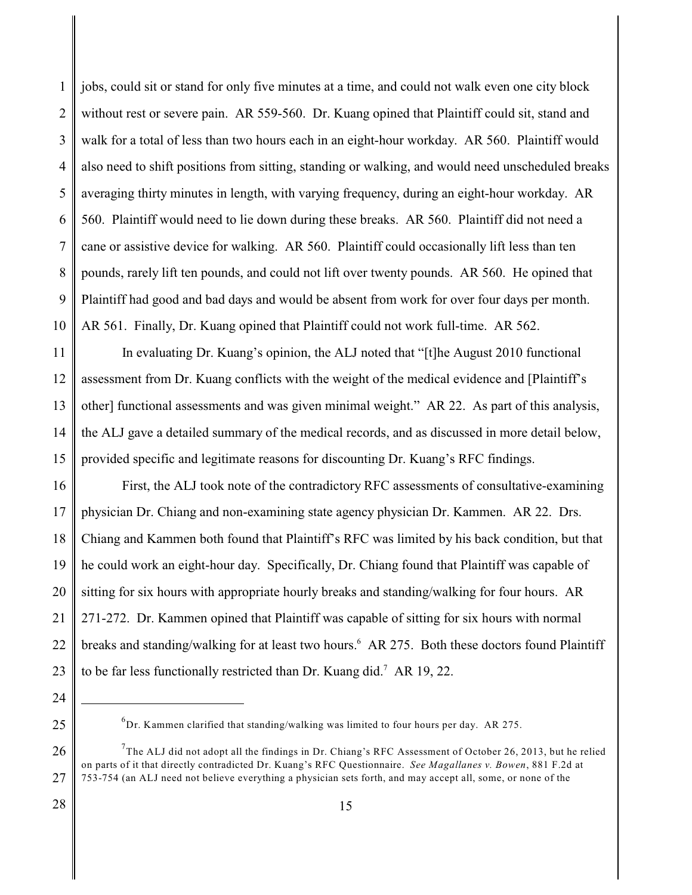1 2 3 4 5 6 7 8 9 10 jobs, could sit or stand for only five minutes at a time, and could not walk even one city block without rest or severe pain. AR 559-560. Dr. Kuang opined that Plaintiff could sit, stand and walk for a total of less than two hours each in an eight-hour workday. AR 560. Plaintiff would also need to shift positions from sitting, standing or walking, and would need unscheduled breaks averaging thirty minutes in length, with varying frequency, during an eight-hour workday. AR 560. Plaintiff would need to lie down during these breaks. AR 560. Plaintiff did not need a cane or assistive device for walking. AR 560. Plaintiff could occasionally lift less than ten pounds, rarely lift ten pounds, and could not lift over twenty pounds. AR 560. He opined that Plaintiff had good and bad days and would be absent from work for over four days per month. AR 561. Finally, Dr. Kuang opined that Plaintiff could not work full-time. AR 562.

11 12 13 14 15 In evaluating Dr. Kuang's opinion, the ALJ noted that "[t]he August 2010 functional assessment from Dr. Kuang conflicts with the weight of the medical evidence and [Plaintiff's other] functional assessments and was given minimal weight." AR 22. As part of this analysis, the ALJ gave a detailed summary of the medical records, and as discussed in more detail below, provided specific and legitimate reasons for discounting Dr. Kuang's RFC findings.

16 17 18 19 20 21 22 23 First, the ALJ took note of the contradictory RFC assessments of consultative-examining physician Dr. Chiang and non-examining state agency physician Dr. Kammen. AR 22. Drs. Chiang and Kammen both found that Plaintiff's RFC was limited by his back condition, but that he could work an eight-hour day. Specifically, Dr. Chiang found that Plaintiff was capable of sitting for six hours with appropriate hourly breaks and standing/walking for four hours. AR 271-272. Dr. Kammen opined that Plaintiff was capable of sitting for six hours with normal breaks and standing/walking for at least two hours.<sup>6</sup> AR 275. Both these doctors found Plaintiff to be far less functionally restricted than Dr. Kuang did.<sup>7</sup> AR 19, 22.

24

25

 ${}^{6}$ Dr. Kammen clarified that standing/walking was limited to four hours per day. AR 275.

<sup>26</sup> 27  $^{7}$ The ALJ did not adopt all the findings in Dr. Chiang's RFC Assessment of October 26, 2013, but he relied on parts of it that directly contradicted Dr. Kuang's RFC Questionnaire. *See Magallanes v. Bowen*, 881 F.2d at 753-754 (an ALJ need not believe everything a physician sets forth, and may accept all, some, or none of the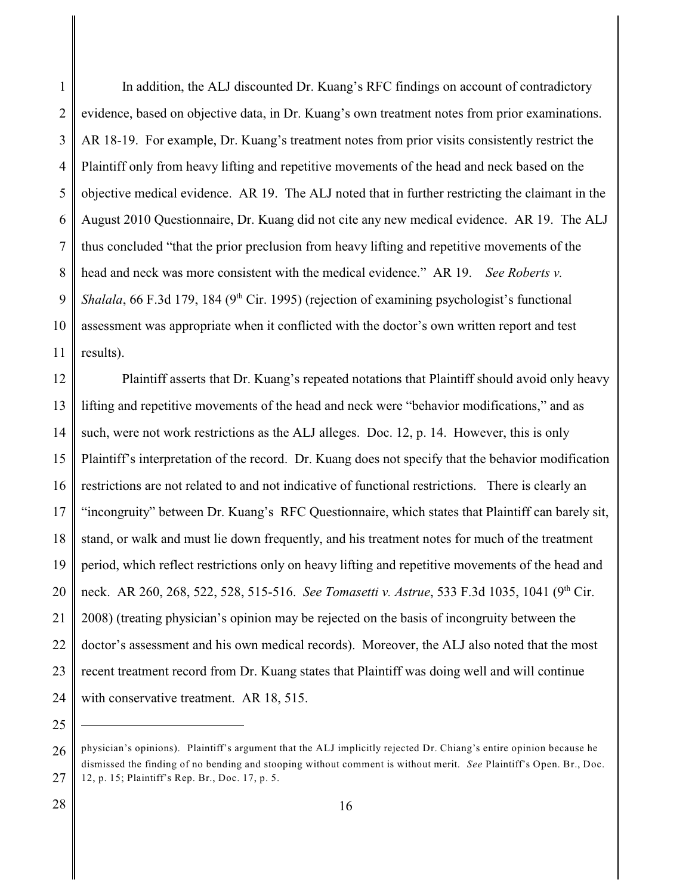1 2 3 4 5 6 7 8 9 10 11 In addition, the ALJ discounted Dr. Kuang's RFC findings on account of contradictory evidence, based on objective data, in Dr. Kuang's own treatment notes from prior examinations. AR 18-19. For example, Dr. Kuang's treatment notes from prior visits consistently restrict the Plaintiff only from heavy lifting and repetitive movements of the head and neck based on the objective medical evidence. AR 19. The ALJ noted that in further restricting the claimant in the August 2010 Questionnaire, Dr. Kuang did not cite any new medical evidence. AR 19. The ALJ thus concluded "that the prior preclusion from heavy lifting and repetitive movements of the head and neck was more consistent with the medical evidence." AR 19. *See Roberts v. Shalala*, 66 F.3d 179, 184 ( $9<sup>th</sup>$  Cir. 1995) (rejection of examining psychologist's functional assessment was appropriate when it conflicted with the doctor's own written report and test results).

12 13 14 15 16 17 18 19 20 21 22 23 24 Plaintiff asserts that Dr. Kuang's repeated notations that Plaintiff should avoid only heavy lifting and repetitive movements of the head and neck were "behavior modifications," and as such, were not work restrictions as the ALJ alleges. Doc. 12, p. 14. However, this is only Plaintiff's interpretation of the record. Dr. Kuang does not specify that the behavior modification restrictions are not related to and not indicative of functional restrictions. There is clearly an "incongruity" between Dr. Kuang's RFC Questionnaire, which states that Plaintiff can barely sit, stand, or walk and must lie down frequently, and his treatment notes for much of the treatment period, which reflect restrictions only on heavy lifting and repetitive movements of the head and neck. AR 260, 268, 522, 528, 515-516. *See Tomasetti v. Astrue*, 533 F.3d 1035, 1041 (9<sup>th</sup> Cir. 2008) (treating physician's opinion may be rejected on the basis of incongruity between the doctor's assessment and his own medical records). Moreover, the ALJ also noted that the most recent treatment record from Dr. Kuang states that Plaintiff was doing well and will continue with conservative treatment. AR 18, 515.

28

<sup>26</sup> 27 physician's opinions). Plaintiff's argument that the ALJ implicitly rejected Dr. Chiang's entire opinion because he dismissed the finding of no bending and stooping without comment is without merit. *See* Plaintiff's Open. Br., Doc. 12, p. 15; Plaintiff's Rep. Br., Doc. 17, p. 5.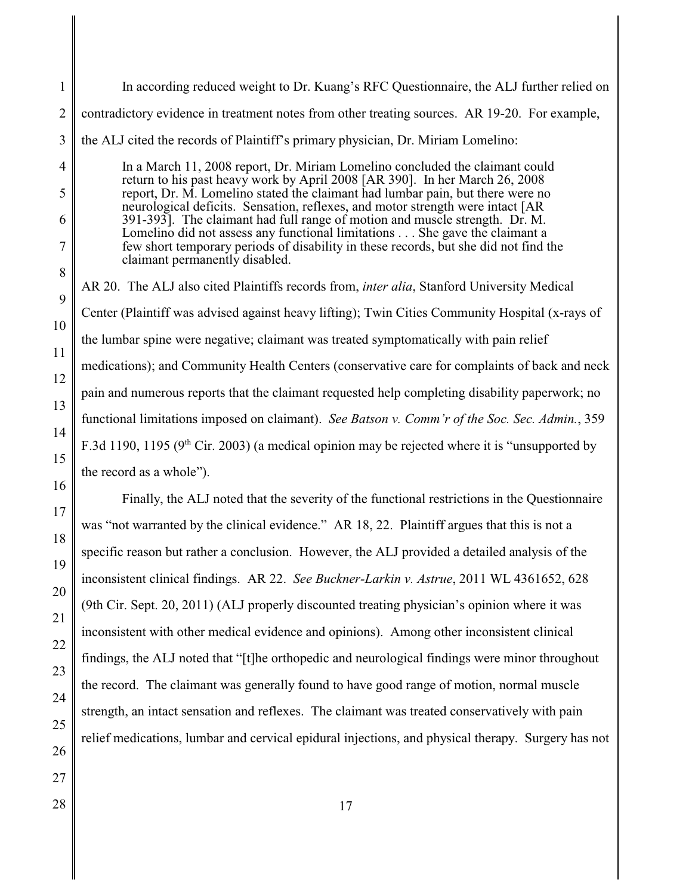| In according reduced weight to Dr. Kuang's RFC Questionnaire, the ALJ further relied on                                                                                                                                                                                                                                                                                                                                                                                                                                                                                                                                |  |  |
|------------------------------------------------------------------------------------------------------------------------------------------------------------------------------------------------------------------------------------------------------------------------------------------------------------------------------------------------------------------------------------------------------------------------------------------------------------------------------------------------------------------------------------------------------------------------------------------------------------------------|--|--|
| contradictory evidence in treatment notes from other treating sources. AR 19-20. For example,                                                                                                                                                                                                                                                                                                                                                                                                                                                                                                                          |  |  |
| the ALJ cited the records of Plaintiff's primary physician, Dr. Miriam Lomelino:                                                                                                                                                                                                                                                                                                                                                                                                                                                                                                                                       |  |  |
| In a March 11, 2008 report, Dr. Miriam Lomelino concluded the claimant could<br>return to his past heavy work by April 2008 [AR 390]. In her March 26, 2008<br>report, Dr. M. Lomelino stated the claimant had lumbar pain, but there were no<br>neurological deficits. Sensation, reflexes, and motor strength were intact [AR<br>391-393]. The claimant had full range of motion and muscle strength. Dr. M.<br>Lomelino did not assess any functional limitations She gave the claimant a<br>few short temporary periods of disability in these records, but she did not find the<br>claimant permanently disabled. |  |  |
| AR 20. The ALJ also cited Plaintiffs records from, <i>inter alia</i> , Stanford University Medical                                                                                                                                                                                                                                                                                                                                                                                                                                                                                                                     |  |  |
| Center (Plaintiff was advised against heavy lifting); Twin Cities Community Hospital (x-rays of                                                                                                                                                                                                                                                                                                                                                                                                                                                                                                                        |  |  |
| the lumbar spine were negative; claimant was treated symptomatically with pain relief                                                                                                                                                                                                                                                                                                                                                                                                                                                                                                                                  |  |  |
| medications); and Community Health Centers (conservative care for complaints of back and neck                                                                                                                                                                                                                                                                                                                                                                                                                                                                                                                          |  |  |
| pain and numerous reports that the claimant requested help completing disability paperwork; no                                                                                                                                                                                                                                                                                                                                                                                                                                                                                                                         |  |  |
| functional limitations imposed on claimant). See Batson v. Comm'r of the Soc. Sec. Admin., 359                                                                                                                                                                                                                                                                                                                                                                                                                                                                                                                         |  |  |
| F.3d 1190, 1195 ( $9th$ Cir. 2003) (a medical opinion may be rejected where it is "unsupported by                                                                                                                                                                                                                                                                                                                                                                                                                                                                                                                      |  |  |
| the record as a whole").                                                                                                                                                                                                                                                                                                                                                                                                                                                                                                                                                                                               |  |  |
| Finally, the ALJ noted that the severity of the functional restrictions in the Questionnaire                                                                                                                                                                                                                                                                                                                                                                                                                                                                                                                           |  |  |
| was "not warranted by the clinical evidence." AR 18, 22. Plaintiff argues that this is not a                                                                                                                                                                                                                                                                                                                                                                                                                                                                                                                           |  |  |
| specific reason but rather a conclusion. However, the ALJ provided a detailed analysis of the                                                                                                                                                                                                                                                                                                                                                                                                                                                                                                                          |  |  |
| inconsistent clinical findings. AR 22. See Buckner-Larkin v. Astrue, 2011 WL 4361652, 628                                                                                                                                                                                                                                                                                                                                                                                                                                                                                                                              |  |  |
| (9th Cir. Sept. 20, 2011) (ALJ properly discounted treating physician's opinion where it was                                                                                                                                                                                                                                                                                                                                                                                                                                                                                                                           |  |  |
| inconsistent with other medical evidence and opinions). Among other inconsistent clinical                                                                                                                                                                                                                                                                                                                                                                                                                                                                                                                              |  |  |
| findings, the ALJ noted that "[t]he orthopedic and neurological findings were minor throughout                                                                                                                                                                                                                                                                                                                                                                                                                                                                                                                         |  |  |
| the record. The claimant was generally found to have good range of motion, normal muscle                                                                                                                                                                                                                                                                                                                                                                                                                                                                                                                               |  |  |
| strength, an intact sensation and reflexes. The claimant was treated conservatively with pain                                                                                                                                                                                                                                                                                                                                                                                                                                                                                                                          |  |  |
| relief medications, lumbar and cervical epidural injections, and physical therapy. Surgery has not                                                                                                                                                                                                                                                                                                                                                                                                                                                                                                                     |  |  |
|                                                                                                                                                                                                                                                                                                                                                                                                                                                                                                                                                                                                                        |  |  |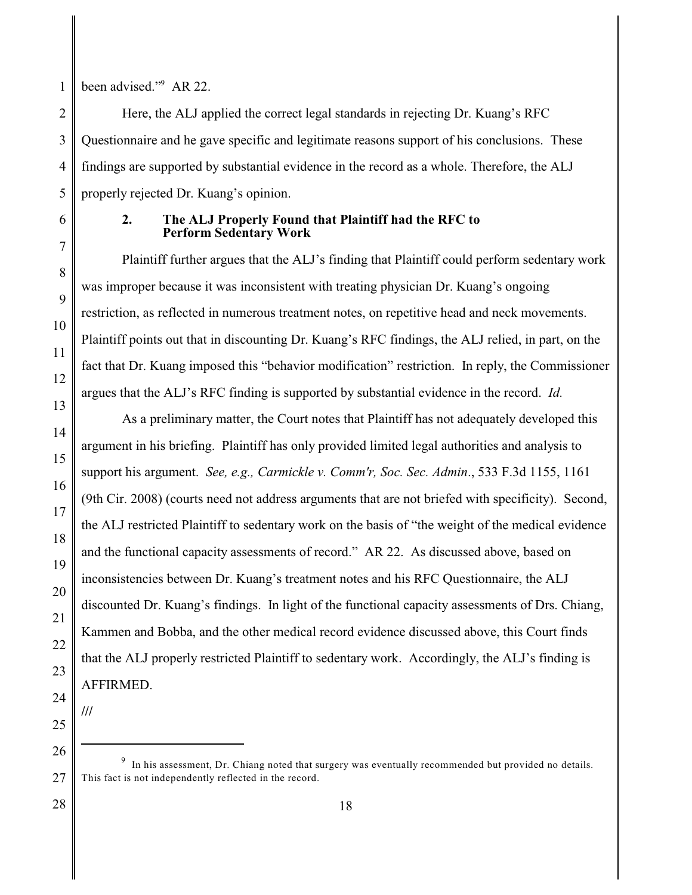1 been advised."<sup>9</sup> AR 22.

2 4 Here, the ALJ applied the correct legal standards in rejecting Dr. Kuang's RFC Questionnaire and he gave specific and legitimate reasons support of his conclusions. These findings are supported by substantial evidence in the record as a whole. Therefore, the ALJ properly rejected Dr. Kuang's opinion.

3

5

6

7

8

9

10

11

12

13

14

15

16

17

18

19

20

21

22

23

26

## **2. The ALJ Properly Found that Plaintiff had the RFC to Perform Sedentary Work**

Plaintiff further argues that the ALJ's finding that Plaintiff could perform sedentary work was improper because it was inconsistent with treating physician Dr. Kuang's ongoing restriction, as reflected in numerous treatment notes, on repetitive head and neck movements. Plaintiff points out that in discounting Dr. Kuang's RFC findings, the ALJ relied, in part, on the fact that Dr. Kuang imposed this "behavior modification" restriction. In reply, the Commissioner argues that the ALJ's RFC finding is supported by substantial evidence in the record. *Id.*

As a preliminary matter, the Court notes that Plaintiff has not adequately developed this argument in his briefing. Plaintiff has only provided limited legal authorities and analysis to support his argument. *See, e.g., Carmickle v. Comm'r, Soc. Sec. Admin*., 533 F.3d 1155, 1161 (9th Cir. 2008) (courts need not address arguments that are not briefed with specificity). Second, the ALJ restricted Plaintiff to sedentary work on the basis of "the weight of the medical evidence and the functional capacity assessments of record." AR 22. As discussed above, based on inconsistencies between Dr. Kuang's treatment notes and his RFC Questionnaire, the ALJ discounted Dr. Kuang's findings. In light of the functional capacity assessments of Drs. Chiang, Kammen and Bobba, and the other medical record evidence discussed above, this Court finds that the ALJ properly restricted Plaintiff to sedentary work. Accordingly, the ALJ's finding is AFFIRMED.

24 25

**///**

<sup>27</sup>  $9$  In his assessment, Dr. Chiang noted that surgery was eventually recommended but provided no details. This fact is not independently reflected in the record.